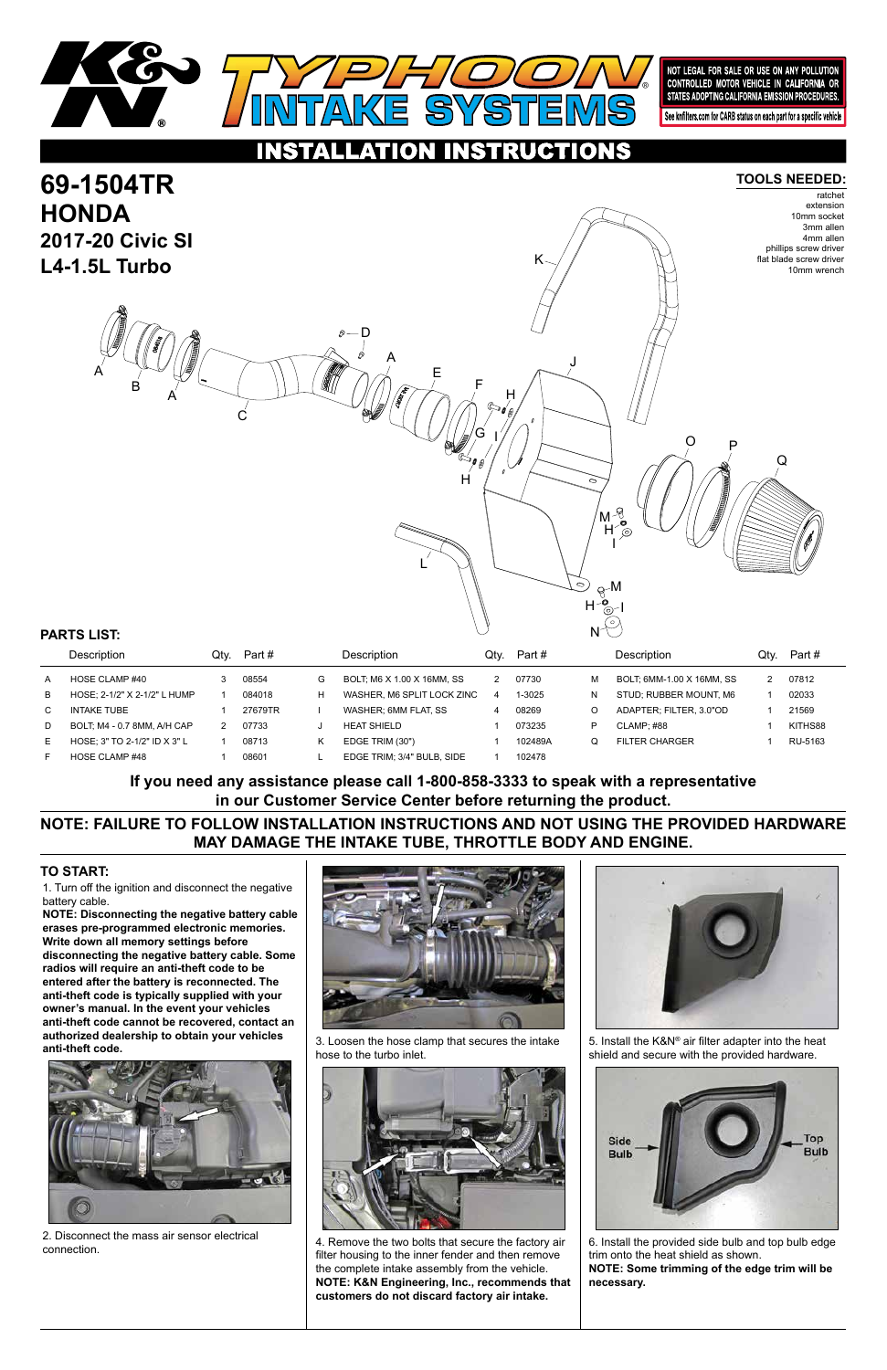1. Turn off the ignition and disconnect the negative battery cable.

**NOTE: Disconnecting the negative battery cable erases pre-programmed electronic memories. Write down all memory settings before disconnecting the negative battery cable. Some radios will require an anti-theft code to be entered after the battery is reconnected. The anti-theft code is typically supplied with your owner's manual. In the event your vehicles anti-theft code cannot be recovered, contact an authorized dealership to obtain your vehicles anti-theft code.**





#### **TO START:**



#### ISTRUCTIONS O

#### **TOOLS NEEDED:**

**NOTE: FAILURE TO FOLLOW INSTALLATION INSTRUCTIONS AND NOT USING THE PROVIDED HARDWARE MAY DAMAGE THE INTAKE TUBE, THROTTLE BODY AND ENGINE.**

**If you need any assistance please call 1-800-858-3333 to speak with a representative in our Customer Service Center before returning the product.**

#### **69-1504TR HONDA 2017-20 Civic SI L4-1.5L Turbo** ratchet extension 10mm socket 3mm allen 4mm allen phillips screw driver flat blade screw driver 10mm wrench A A C A E F  $\rm G$  I H J K L  $R^{-M}$ H I O P Q I H M H D B

|   | Description                  | Qtv. | Part #  |    | <b>Description</b>         | Qtv. | Part #  |   | <b>Description</b>        | Qtv. | Part #  |
|---|------------------------------|------|---------|----|----------------------------|------|---------|---|---------------------------|------|---------|
| A | HOSE CLAMP #40               |      | 08554   | G  | BOLT, M6 X 1.00 X 16MM, SS |      | 07730   | м | BOLT: 6MM-1.00 X 16MM. SS |      | 07812   |
| B | HOSE; 2-1/2" X 2-1/2" L HUMP |      | 084018  | H. | WASHER. M6 SPLIT LOCK ZINC | 4    | 1-3025  | N | STUD: RUBBER MOUNT, M6    |      | 02033   |
|   | <b>INTAKE TUBE</b>           |      | 27679TR |    | WASHER: 6MM FLAT. SS       |      | 08269   |   | ADAPTER: FILTER. 3.0"OD   |      | 21569   |
| D | BOLT, M4 - 0.7 8MM, A/H CAP  |      | 07733   |    | <b>HEAT SHIELD</b>         |      | 073235  | P | CLAMP: #88                |      | KITHS88 |
| Е | HOSE: 3" TO 2-1/2" ID X 3" L |      | 08713   | Κ  | EDGE TRIM (30")            |      | 102489A |   | <b>FILTER CHARGER</b>     |      | RU-5163 |
|   | HOSE CLAMP #48               |      | 08601   |    | EDGE TRIM; 3/4" BULB, SIDE |      | 102478  |   |                           |      |         |

## **PARTS LIST:**



2. Disconnect the mass air sensor electrical connection.



3. Loosen the hose clamp that secures the intake hose to the turbo inlet.



4. Remove the two bolts that secure the factory air filter housing to the inner fender and then remove the complete intake assembly from the vehicle. **NOTE: K&N Engineering, Inc., recommends that customers do not discard factory air intake.**

5. Install the K&N® air filter adapter into the heat shield and secure with the provided hardware.



N

6. Install the provided side bulb and top bulb edge trim onto the heat shield as shown. **NOTE: Some trimming of the edge trim will be necessary.**